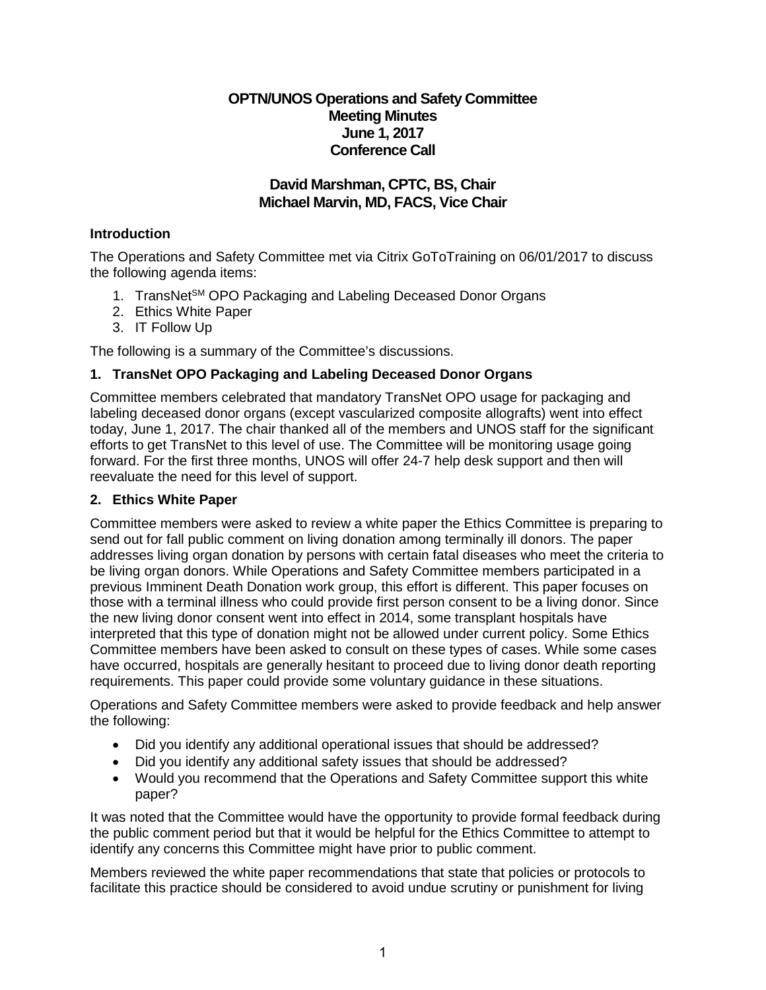## **OPTN/UNOS Operations and Safety Committee Meeting Minutes June 1, 2017 Conference Call**

# **David Marshman, CPTC, BS, Chair Michael Marvin, MD, FACS, Vice Chair**

## **Introduction**

The Operations and Safety Committee met via Citrix GoToTraining on 06/01/2017 to discuss the following agenda items:

- 1. TransNet<sup>SM</sup> OPO Packaging and Labeling Deceased Donor Organs
- 2. Ethics White Paper
- 3. IT Follow Up

The following is a summary of the Committee's discussions.

# **1. TransNet OPO Packaging and Labeling Deceased Donor Organs**

Committee members celebrated that mandatory TransNet OPO usage for packaging and labeling deceased donor organs (except vascularized composite allografts) went into effect today, June 1, 2017. The chair thanked all of the members and UNOS staff for the significant efforts to get TransNet to this level of use. The Committee will be monitoring usage going forward. For the first three months, UNOS will offer 24-7 help desk support and then will reevaluate the need for this level of support.

# **2. Ethics White Paper**

Committee members were asked to review a white paper the Ethics Committee is preparing to send out for fall public comment on living donation among terminally ill donors. The paper addresses living organ donation by persons with certain fatal diseases who meet the criteria to be living organ donors. While Operations and Safety Committee members participated in a previous Imminent Death Donation work group, this effort is different. This paper focuses on those with a terminal illness who could provide first person consent to be a living donor. Since the new living donor consent went into effect in 2014, some transplant hospitals have interpreted that this type of donation might not be allowed under current policy. Some Ethics Committee members have been asked to consult on these types of cases. While some cases have occurred, hospitals are generally hesitant to proceed due to living donor death reporting requirements. This paper could provide some voluntary guidance in these situations.

Operations and Safety Committee members were asked to provide feedback and help answer the following:

- Did you identify any additional operational issues that should be addressed?
- Did you identify any additional safety issues that should be addressed?
- Would you recommend that the Operations and Safety Committee support this white paper?

It was noted that the Committee would have the opportunity to provide formal feedback during the public comment period but that it would be helpful for the Ethics Committee to attempt to identify any concerns this Committee might have prior to public comment.

Members reviewed the white paper recommendations that state that policies or protocols to facilitate this practice should be considered to avoid undue scrutiny or punishment for living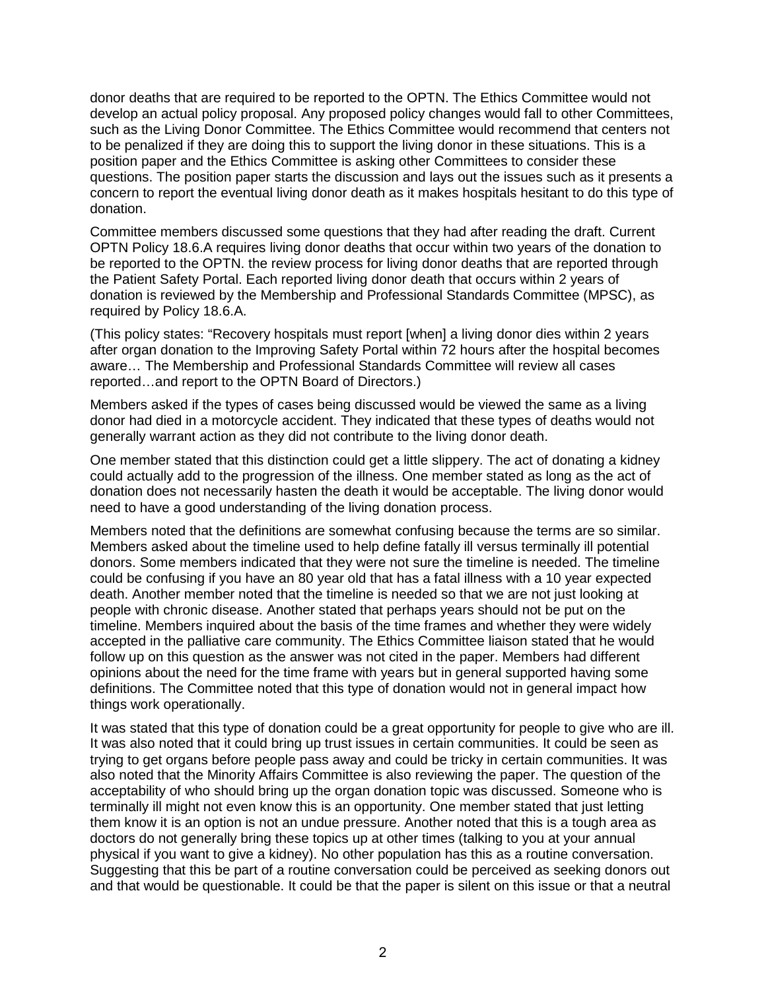donor deaths that are required to be reported to the OPTN. The Ethics Committee would not develop an actual policy proposal. Any proposed policy changes would fall to other Committees, such as the Living Donor Committee. The Ethics Committee would recommend that centers not to be penalized if they are doing this to support the living donor in these situations. This is a position paper and the Ethics Committee is asking other Committees to consider these questions. The position paper starts the discussion and lays out the issues such as it presents a concern to report the eventual living donor death as it makes hospitals hesitant to do this type of donation.

Committee members discussed some questions that they had after reading the draft. Current OPTN Policy 18.6.A requires living donor deaths that occur within two years of the donation to be reported to the OPTN. the review process for living donor deaths that are reported through the Patient Safety Portal. Each reported living donor death that occurs within 2 years of donation is reviewed by the Membership and Professional Standards Committee (MPSC), as required by Policy 18.6.A.

(This policy states: "Recovery hospitals must report [when] a living donor dies within 2 years after organ donation to the Improving Safety Portal within 72 hours after the hospital becomes aware… The Membership and Professional Standards Committee will review all cases reported…and report to the OPTN Board of Directors.)

Members asked if the types of cases being discussed would be viewed the same as a living donor had died in a motorcycle accident. They indicated that these types of deaths would not generally warrant action as they did not contribute to the living donor death.

One member stated that this distinction could get a little slippery. The act of donating a kidney could actually add to the progression of the illness. One member stated as long as the act of donation does not necessarily hasten the death it would be acceptable. The living donor would need to have a good understanding of the living donation process.

Members noted that the definitions are somewhat confusing because the terms are so similar. Members asked about the timeline used to help define fatally ill versus terminally ill potential donors. Some members indicated that they were not sure the timeline is needed. The timeline could be confusing if you have an 80 year old that has a fatal illness with a 10 year expected death. Another member noted that the timeline is needed so that we are not just looking at people with chronic disease. Another stated that perhaps years should not be put on the timeline. Members inquired about the basis of the time frames and whether they were widely accepted in the palliative care community. The Ethics Committee liaison stated that he would follow up on this question as the answer was not cited in the paper. Members had different opinions about the need for the time frame with years but in general supported having some definitions. The Committee noted that this type of donation would not in general impact how things work operationally.

It was stated that this type of donation could be a great opportunity for people to give who are ill. It was also noted that it could bring up trust issues in certain communities. It could be seen as trying to get organs before people pass away and could be tricky in certain communities. It was also noted that the Minority Affairs Committee is also reviewing the paper. The question of the acceptability of who should bring up the organ donation topic was discussed. Someone who is terminally ill might not even know this is an opportunity. One member stated that just letting them know it is an option is not an undue pressure. Another noted that this is a tough area as doctors do not generally bring these topics up at other times (talking to you at your annual physical if you want to give a kidney). No other population has this as a routine conversation. Suggesting that this be part of a routine conversation could be perceived as seeking donors out and that would be questionable. It could be that the paper is silent on this issue or that a neutral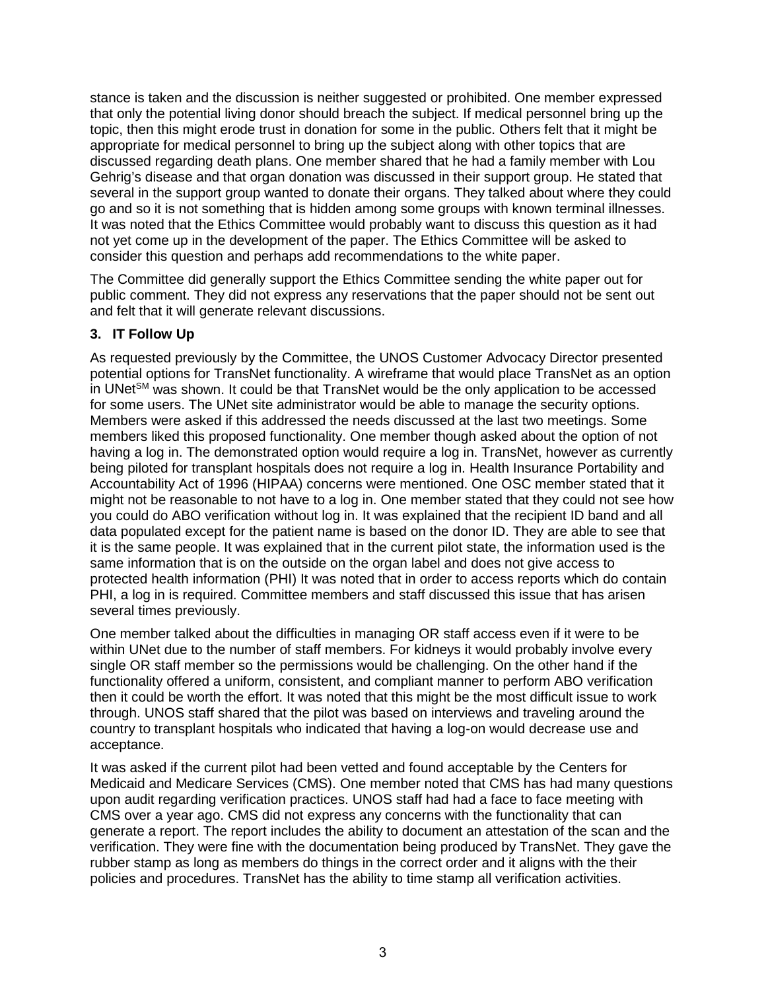stance is taken and the discussion is neither suggested or prohibited. One member expressed that only the potential living donor should breach the subject. If medical personnel bring up the topic, then this might erode trust in donation for some in the public. Others felt that it might be appropriate for medical personnel to bring up the subject along with other topics that are discussed regarding death plans. One member shared that he had a family member with Lou Gehrig's disease and that organ donation was discussed in their support group. He stated that several in the support group wanted to donate their organs. They talked about where they could go and so it is not something that is hidden among some groups with known terminal illnesses. It was noted that the Ethics Committee would probably want to discuss this question as it had not yet come up in the development of the paper. The Ethics Committee will be asked to consider this question and perhaps add recommendations to the white paper.

The Committee did generally support the Ethics Committee sending the white paper out for public comment. They did not express any reservations that the paper should not be sent out and felt that it will generate relevant discussions.

# **3. IT Follow Up**

As requested previously by the Committee, the UNOS Customer Advocacy Director presented potential options for TransNet functionality. A wireframe that would place TransNet as an option in UNet<sup>SM</sup> was shown. It could be that TransNet would be the only application to be accessed for some users. The UNet site administrator would be able to manage the security options. Members were asked if this addressed the needs discussed at the last two meetings. Some members liked this proposed functionality. One member though asked about the option of not having a log in. The demonstrated option would require a log in. TransNet, however as currently being piloted for transplant hospitals does not require a log in. Health Insurance Portability and Accountability Act of 1996 (HIPAA) concerns were mentioned. One OSC member stated that it might not be reasonable to not have to a log in. One member stated that they could not see how you could do ABO verification without log in. It was explained that the recipient ID band and all data populated except for the patient name is based on the donor ID. They are able to see that it is the same people. It was explained that in the current pilot state, the information used is the same information that is on the outside on the organ label and does not give access to protected health information (PHI) It was noted that in order to access reports which do contain PHI, a log in is required. Committee members and staff discussed this issue that has arisen several times previously.

One member talked about the difficulties in managing OR staff access even if it were to be within UNet due to the number of staff members. For kidneys it would probably involve every single OR staff member so the permissions would be challenging. On the other hand if the functionality offered a uniform, consistent, and compliant manner to perform ABO verification then it could be worth the effort. It was noted that this might be the most difficult issue to work through. UNOS staff shared that the pilot was based on interviews and traveling around the country to transplant hospitals who indicated that having a log-on would decrease use and acceptance.

It was asked if the current pilot had been vetted and found acceptable by the Centers for Medicaid and Medicare Services (CMS). One member noted that CMS has had many questions upon audit regarding verification practices. UNOS staff had had a face to face meeting with CMS over a year ago. CMS did not express any concerns with the functionality that can generate a report. The report includes the ability to document an attestation of the scan and the verification. They were fine with the documentation being produced by TransNet. They gave the rubber stamp as long as members do things in the correct order and it aligns with the their policies and procedures. TransNet has the ability to time stamp all verification activities.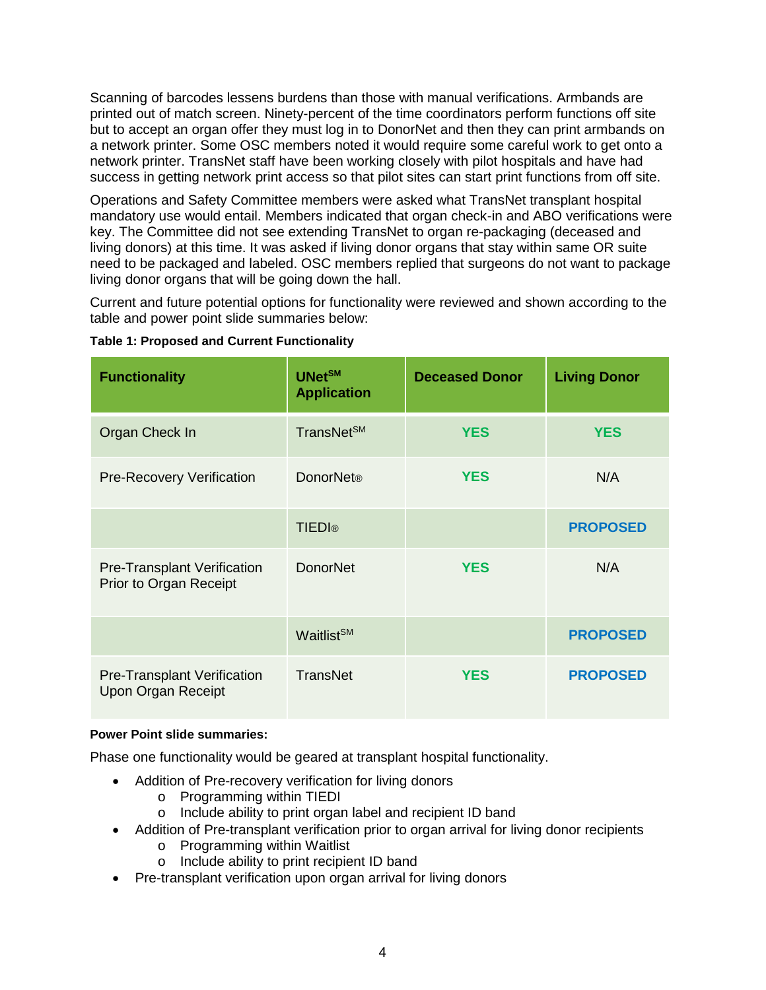Scanning of barcodes lessens burdens than those with manual verifications. Armbands are printed out of match screen. Ninety-percent of the time coordinators perform functions off site but to accept an organ offer they must log in to DonorNet and then they can print armbands on a network printer. Some OSC members noted it would require some careful work to get onto a network printer. TransNet staff have been working closely with pilot hospitals and have had success in getting network print access so that pilot sites can start print functions from off site.

Operations and Safety Committee members were asked what TransNet transplant hospital mandatory use would entail. Members indicated that organ check-in and ABO verifications were key. The Committee did not see extending TransNet to organ re-packaging (deceased and living donors) at this time. It was asked if living donor organs that stay within same OR suite need to be packaged and labeled. OSC members replied that surgeons do not want to package living donor organs that will be going down the hall.

Current and future potential options for functionality were reviewed and shown according to the table and power point slide summaries below:

| <b>Functionality</b>                                            | <b>UNetSM</b><br><b>Application</b> | <b>Deceased Donor</b> | <b>Living Donor</b> |
|-----------------------------------------------------------------|-------------------------------------|-----------------------|---------------------|
| Organ Check In                                                  | TransNet <sup>SM</sup>              | <b>YES</b>            | <b>YES</b>          |
| <b>Pre-Recovery Verification</b>                                | <b>DonorNet®</b>                    | <b>YES</b>            | N/A                 |
|                                                                 | <b>TIEDI®</b>                       |                       | <b>PROPOSED</b>     |
| <b>Pre-Transplant Verification</b><br>Prior to Organ Receipt    | <b>DonorNet</b>                     | <b>YES</b>            | N/A                 |
|                                                                 | Waitlist <sup>SM</sup>              |                       | <b>PROPOSED</b>     |
| <b>Pre-Transplant Verification</b><br><b>Upon Organ Receipt</b> | <b>TransNet</b>                     | <b>YES</b>            | <b>PROPOSED</b>     |

#### **Table 1: Proposed and Current Functionality**

#### **Power Point slide summaries:**

Phase one functionality would be geared at transplant hospital functionality.

- Addition of Pre-recovery verification for living donors
	- o Programming within TIEDI
	- o Include ability to print organ label and recipient ID band
- Addition of Pre-transplant verification prior to organ arrival for living donor recipients
	- o Programming within Waitlist
	- o Include ability to print recipient ID band
- Pre-transplant verification upon organ arrival for living donors